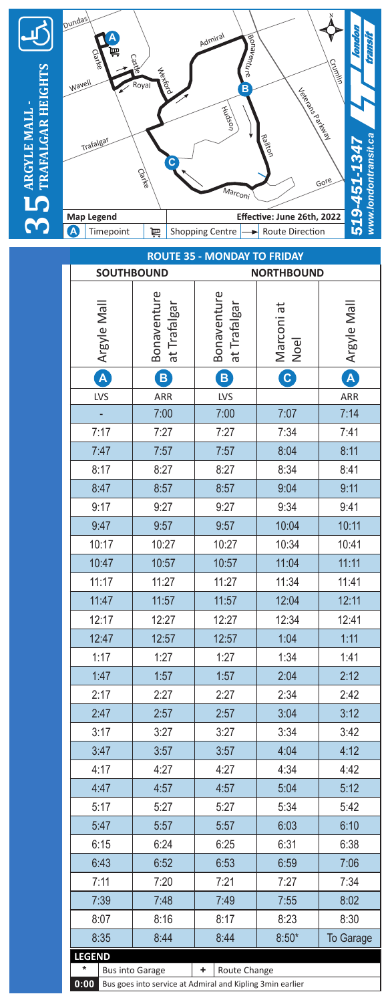

| <b>ROUTE 35 - MONDAY TO FRIDAY</b>     |                                                                                     |                             |                    |                      |
|----------------------------------------|-------------------------------------------------------------------------------------|-----------------------------|--------------------|----------------------|
| <b>SOUTHBOUND</b><br><b>NORTHBOUND</b> |                                                                                     |                             |                    |                      |
| <b>Argyle Mall</b>                     | Bonaventure<br>at Trafalgar                                                         | Bonaventure<br>at Trafalgar | Marconi at<br>Noel | <b>D</b> Argyle Mall |
|                                        | $\mathbf{B}$                                                                        | $\boxed{B}$                 | C                  |                      |
| LVS                                    | ARR                                                                                 | LVS                         |                    | ARR                  |
|                                        | 7:00                                                                                | 7:00                        | 7:07               | 7:14                 |
| 7:17                                   | 7:27                                                                                | 7:27                        | 7:34               | 7:41                 |
| 7:47                                   | 7:57                                                                                | 7:57                        | 8:04               | 8:11                 |
| 8:17                                   | 8:27                                                                                | 8:27                        | 8:34               | 8:41                 |
| 8:47                                   | 8:57                                                                                | 8:57                        | 9:04               | 9:11                 |
| 9:17                                   | 9:27                                                                                | 9:27                        | 9:34               | 9:41                 |
| 9:47                                   | 9:57                                                                                | 9:57                        | 10:04              | 10:11                |
| 10:17                                  | 10:27                                                                               | 10:27                       | 10:34              | 10:41                |
| 10:47                                  | 10:57                                                                               | 10:57                       | 11:04              | 11:11                |
| 11:17                                  | 11:27                                                                               | 11:27                       | 11:34              | 11:41                |
| 11:47                                  | 11:57                                                                               | 11:57                       | 12:04              | 12:11                |
| 12:17                                  | 12:27                                                                               | 12:27                       | 12:34              | 12:41                |
| 12:47                                  | 12:57                                                                               | 12:57                       | 1:04               | 1:11                 |
| 1:17                                   | 1:27                                                                                | 1:27                        | 1:34               | 1:41                 |
| 1:47                                   | 1:57                                                                                | 1:57                        | 2:04               | 2:12                 |
| 2:17                                   | 2:27                                                                                | 2:27                        | 2:34               | 2:42                 |
| 2:47                                   | 2:57                                                                                | 2:57                        | 3:04               | 3:12                 |
| 3:17                                   | 3:27                                                                                | 3:27                        | 3:34               | 3:42                 |
| 3:47                                   | 3:57                                                                                | 3:57                        | 4:04               | 4:12                 |
| 4:17                                   | 4:27                                                                                | 4:27                        | 4:34               | 4:42                 |
| 4:47                                   | 4:57                                                                                | 4:57                        | 5:04               | 5:12                 |
| 5:17                                   | 5:27                                                                                | 5:27                        | 5:34               | 5:42                 |
| 5:47                                   | 5:57                                                                                | 5:57                        | 6:03               | 6:10                 |
| 6:15                                   | 6:24                                                                                | 6:25                        | 6:31               | 6:38                 |
| 6:43                                   | 6:52                                                                                | 6:53                        | 6:59               | 7:06                 |
| 7:11                                   | 7:20                                                                                | 7:21                        | 7:27               | 7:34                 |
| 7:39                                   | 7:48                                                                                | 7:49                        | 7:55               | 8:02                 |
| 8:07                                   | 8:16                                                                                | 8:17                        | 8:23               | 8:30                 |
| 8:35                                   | 8:44                                                                                | 8:44                        | $8:50*$            | <b>To Garage</b>     |
| <b>LEGEND</b>                          |                                                                                     |                             |                    |                      |
| 0:00                                   | <b>Bus into Garage</b><br>Bus goes into service at Admiral and Kipling 3min earlier | ٠<br>Route Change           |                    |                      |
|                                        |                                                                                     |                             |                    |                      |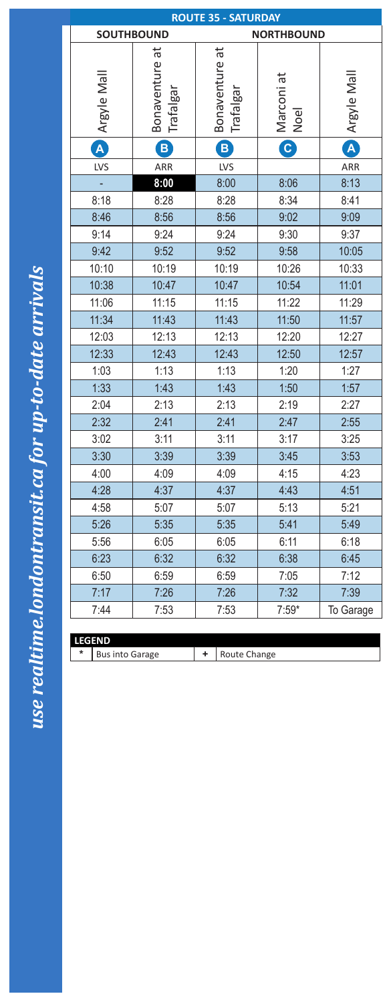| <b>ROUTE 35 - SATURDAY</b>             |                               |                               |                                                         |             |  |  |
|----------------------------------------|-------------------------------|-------------------------------|---------------------------------------------------------|-------------|--|--|
| <b>SOUTHBOUND</b><br><b>NORTHBOUND</b> |                               |                               |                                                         |             |  |  |
| Argyle Mall                            | đ<br>Bonaventure<br>Trafalgar | đ<br>Bonaventure<br>Trafalgar | Marconi at<br>Noel                                      | Argyle Mall |  |  |
| A                                      | B                             | $\left  \mathbf{B} \right $   | $\left[ \begin{matrix} \mathbf{C} \end{matrix} \right]$ | A           |  |  |
| LVS                                    | ARR                           | LVS                           |                                                         | ARR         |  |  |
|                                        | 8:00                          | 8:00                          | 8:06                                                    | 8:13        |  |  |
| 8:18                                   | 8:28                          | 8:28                          | 8:34                                                    | 8:41        |  |  |
| 8:46                                   | 8:56                          | 8:56                          | 9:02                                                    | 9:09        |  |  |
| 9:14                                   | 9:24                          | 9:24                          | 9:30                                                    | 9:37        |  |  |
| 9:42                                   | 9:52                          | 9:52                          | 9:58                                                    | 10:05       |  |  |
| 10:10                                  | 10:19                         | 10:19                         | 10:26                                                   | 10:33       |  |  |
| 10:38                                  | 10:47                         | 10:47                         | 10:54                                                   | 11:01       |  |  |
| 11:06                                  | 11:15                         | 11:15                         | 11:22                                                   | 11:29       |  |  |
| 11:34                                  | 11:43                         | 11:43                         | 11:50                                                   | 11:57       |  |  |
| 12:03                                  | 12:13                         | 12:13                         | 12:20                                                   | 12:27       |  |  |
| 12:33                                  | 12:43                         | 12:43                         | 12:50                                                   | 12:57       |  |  |
| 1:03                                   | 1:13                          | 1:13                          | 1:20                                                    | 1:27        |  |  |
| 1:33                                   | 1:43                          | 1:43                          | 1:50                                                    | 1:57        |  |  |
| 2:04                                   | 2:13                          | 2:13                          | 2:19                                                    | 2:27        |  |  |
| 2:32                                   | 2:41                          | 2:41                          | 2:47                                                    | 2:55        |  |  |
| 3:02                                   | 3:11                          | 3:11                          | 3:17                                                    | 3:25        |  |  |
| 3:30                                   | 3:39                          | 3:39                          | 3:45                                                    | 3:53        |  |  |
| 4:00                                   | 4:09                          | 4:09                          | 4:15                                                    | 4:23        |  |  |
| 4:28                                   | 4:37                          | 4:37                          | 4:43                                                    | 4:51        |  |  |
| 4:58                                   | 5:07                          | 5:07                          | 5:13                                                    | 5:21        |  |  |
| 5:26                                   | 5:35                          | 5:35                          | 5:41                                                    | 5:49        |  |  |
| 5:56                                   | 6:05                          | 6:05                          | 6:11                                                    | 6:18        |  |  |
| 6:23                                   | 6:32                          | 6:32                          | 6:38                                                    | 6:45        |  |  |
| 6:50                                   | 6:59                          | 6:59                          | 7:05                                                    | 7:12        |  |  |
| 7:17                                   | 7:26                          | 7:26                          | 7:32                                                    | 7:39        |  |  |
| 7:44                                   | 7:53                          | 7:53                          | $7:59*$                                                 | To Garage   |  |  |

| l LEGEND |                        |  |              |
|----------|------------------------|--|--------------|
| $\ast$   | <b>Bus into Garage</b> |  | Route Change |